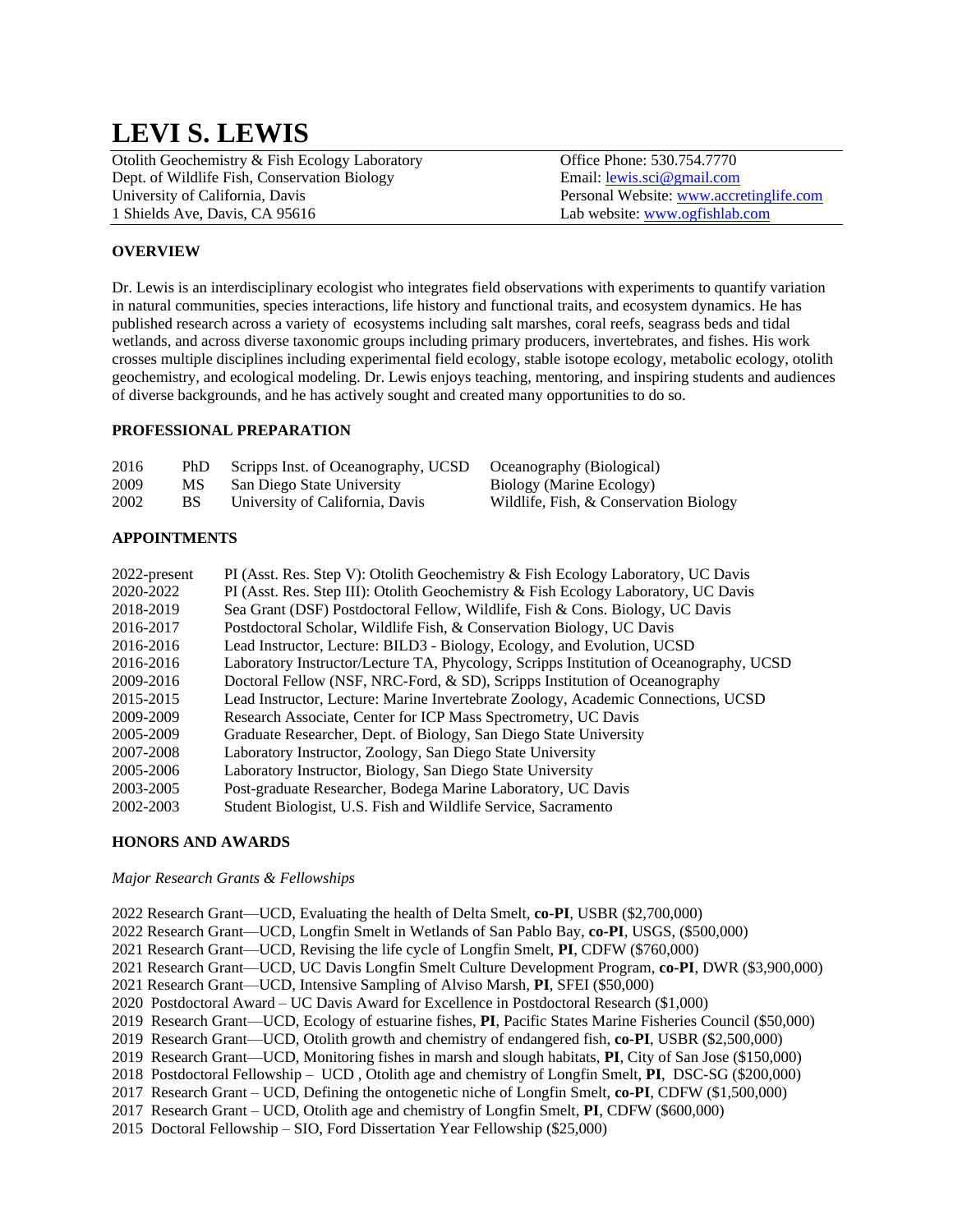# **LEVI S. LEWIS**

| Otolith Geochemistry & Fish Ecology Laboratory | Office Phone: 530.754.7770              |
|------------------------------------------------|-----------------------------------------|
| Dept. of Wildlife Fish, Conservation Biology   | Email: $lewis.sci@gmail.com$            |
| University of California, Davis                | Personal Website: www.accretinglife.com |
| 1 Shields Ave, Davis, CA 95616                 | Lab website: www.ogfishlab.com          |

# **OVERVIEW**

Dr. Lewis is an interdisciplinary ecologist who integrates field observations with experiments to quantify variation in natural communities, species interactions, life history and functional traits, and ecosystem dynamics. He has published research across a variety of ecosystems including salt marshes, coral reefs, seagrass beds and tidal wetlands, and across diverse taxonomic groups including primary producers, invertebrates, and fishes. His work crosses multiple disciplines including experimental field ecology, stable isotope ecology, metabolic ecology, otolith geochemistry, and ecological modeling. Dr. Lewis enjoys teaching, mentoring, and inspiring students and audiences of diverse backgrounds, and he has actively sought and created many opportunities to do so.

## **PROFESSIONAL PREPARATION**

| 2016 | PhD. | Scripps Inst. of Oceanography, UCSD | Oceanography (Biological)              |
|------|------|-------------------------------------|----------------------------------------|
| 2009 | MS.  | San Diego State University          | Biology (Marine Ecology)               |
| 2002 | BS.  | University of California, Davis     | Wildlife, Fish, & Conservation Biology |

## **APPOINTMENTS**

| 2022-present | PI (Asst. Res. Step V): Otolith Geochemistry & Fish Ecology Laboratory, UC Davis       |
|--------------|----------------------------------------------------------------------------------------|
| 2020-2022    | PI (Asst. Res. Step III): Otolith Geochemistry & Fish Ecology Laboratory, UC Davis     |
| 2018-2019    | Sea Grant (DSF) Postdoctoral Fellow, Wildlife, Fish & Cons. Biology, UC Davis          |
| 2016-2017    | Postdoctoral Scholar, Wildlife Fish, & Conservation Biology, UC Davis                  |
| 2016-2016    | Lead Instructor, Lecture: BILD3 - Biology, Ecology, and Evolution, UCSD                |
| 2016-2016    | Laboratory Instructor/Lecture TA, Phycology, Scripps Institution of Oceanography, UCSD |
| 2009-2016    | Doctoral Fellow (NSF, NRC-Ford, & SD), Scripps Institution of Oceanography             |
| 2015-2015    | Lead Instructor, Lecture: Marine Invertebrate Zoology, Academic Connections, UCSD      |
| 2009-2009    | Research Associate, Center for ICP Mass Spectrometry, UC Davis                         |
| 2005-2009    | Graduate Researcher, Dept. of Biology, San Diego State University                      |
| 2007-2008    | Laboratory Instructor, Zoology, San Diego State University                             |
| 2005-2006    | Laboratory Instructor, Biology, San Diego State University                             |
| 2003-2005    | Post-graduate Researcher, Bodega Marine Laboratory, UC Davis                           |
| 2002-2003    | Student Biologist, U.S. Fish and Wildlife Service, Sacramento                          |

## **HONORS AND AWARDS**

#### *Major Research Grants & Fellowships*

2022 Research Grant—UCD, Evaluating the health of Delta Smelt, **co-PI**, USBR (\$2,700,000)

2022 Research Grant—UCD, Longfin Smelt in Wetlands of San Pablo Bay, **co-PI**, USGS, (\$500,000)

2021 Research Grant—UCD, Revising the life cycle of Longfin Smelt, **PI**, CDFW (\$760,000)

2021 Research Grant—UCD, UC Davis Longfin Smelt Culture Development Program, **co-PI**, DWR (\$3,900,000)

2021 Research Grant—UCD, Intensive Sampling of Alviso Marsh, **PI**, SFEI (\$50,000)

2020 Postdoctoral Award – UC Davis Award for Excellence in Postdoctoral Research (\$1,000)

2019 Research Grant—UCD, Ecology of estuarine fishes, **PI**, Pacific States Marine Fisheries Council (\$50,000)

2019 Research Grant—UCD, Otolith growth and chemistry of endangered fish, **co-PI**, USBR (\$2,500,000)

2019 Research Grant—UCD, Monitoring fishes in marsh and slough habitats, **PI**, City of San Jose (\$150,000)

2018 Postdoctoral Fellowship – UCD , Otolith age and chemistry of Longfin Smelt, **PI**, DSC-SG (\$200,000)

2017 Research Grant – UCD, Defining the ontogenetic niche of Longfin Smelt, **co-PI**, CDFW (\$1,500,000)

2017 Research Grant – UCD, Otolith age and chemistry of Longfin Smelt, **PI**, CDFW (\$600,000)

2015 Doctoral Fellowship – SIO, Ford Dissertation Year Fellowship (\$25,000)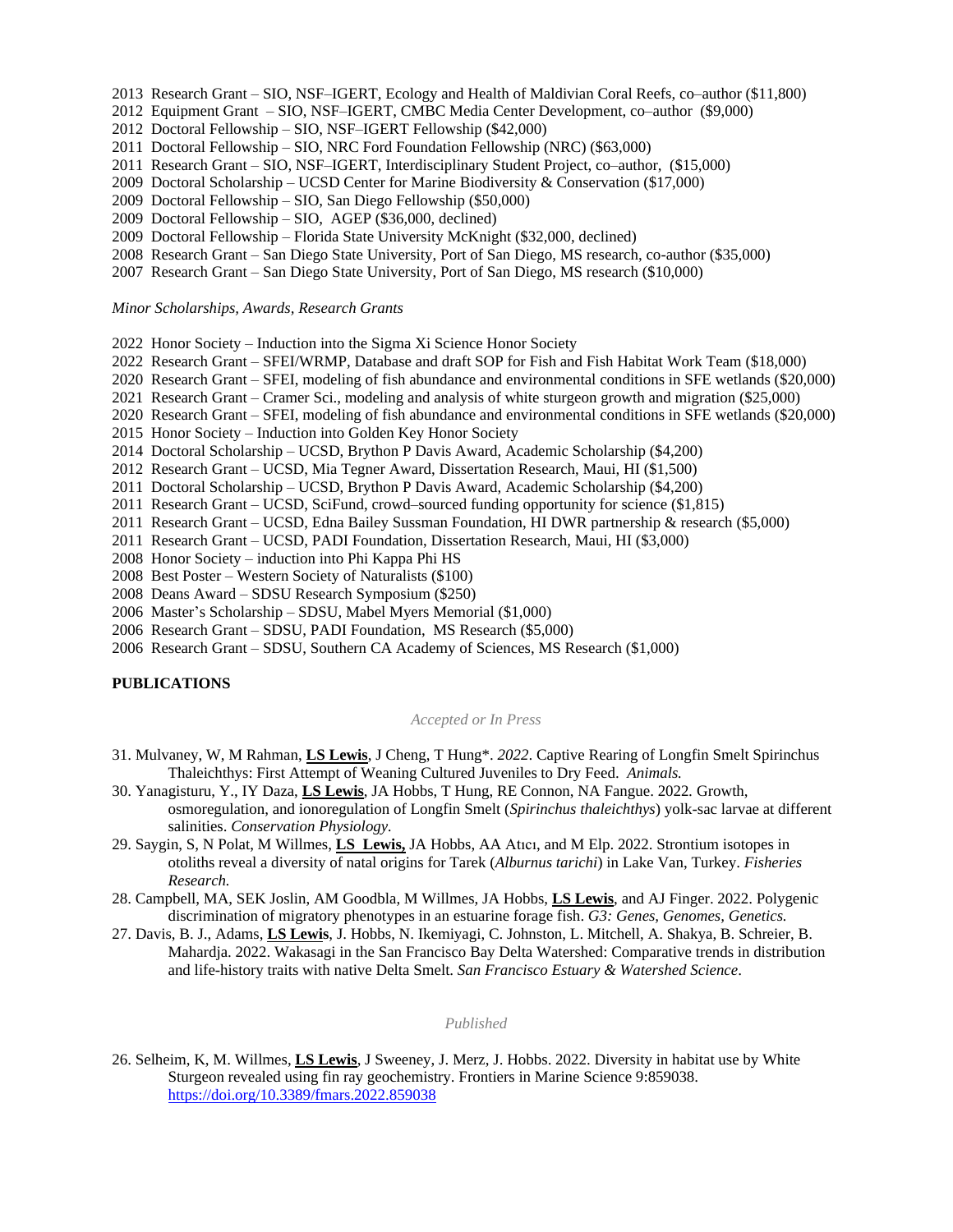- 2013 Research Grant SIO, NSF–IGERT, Ecology and Health of Maldivian Coral Reefs, co–author (\$11,800)
- 2012 Equipment Grant SIO, NSF–IGERT, CMBC Media Center Development, co–author (\$9,000)
- 2012 Doctoral Fellowship SIO, NSF–IGERT Fellowship (\$42,000)
- 2011 Doctoral Fellowship SIO, NRC Ford Foundation Fellowship (NRC) (\$63,000)
- 2011 Research Grant SIO, NSF–IGERT, Interdisciplinary Student Project, co–author, (\$15,000)
- 2009 Doctoral Scholarship UCSD Center for Marine Biodiversity & Conservation (\$17,000)
- 2009 Doctoral Fellowship SIO, San Diego Fellowship (\$50,000)
- 2009 Doctoral Fellowship SIO, AGEP (\$36,000, declined)
- 2009 Doctoral Fellowship Florida State University McKnight (\$32,000, declined)
- 2008 Research Grant San Diego State University, Port of San Diego, MS research, co-author (\$35,000)
- 2007 Research Grant San Diego State University, Port of San Diego, MS research (\$10,000)

#### *Minor Scholarships, Awards, Research Grants*

- 2022 Honor Society Induction into the Sigma Xi Science Honor Society
- 2022 Research Grant SFEI/WRMP, Database and draft SOP for Fish and Fish Habitat Work Team (\$18,000)
- 2020 Research Grant SFEI, modeling of fish abundance and environmental conditions in SFE wetlands (\$20,000)
- 2021 Research Grant Cramer Sci., modeling and analysis of white sturgeon growth and migration (\$25,000)
- 2020 Research Grant SFEI, modeling of fish abundance and environmental conditions in SFE wetlands (\$20,000)
- 2015 Honor Society Induction into Golden Key Honor Society
- 2014 Doctoral Scholarship UCSD, Brython P Davis Award, Academic Scholarship (\$4,200)
- 2012 Research Grant UCSD, Mia Tegner Award, Dissertation Research, Maui, HI (\$1,500)
- 2011 Doctoral Scholarship UCSD, Brython P Davis Award, Academic Scholarship (\$4,200)
- 2011 Research Grant UCSD, SciFund, crowd–sourced funding opportunity for science (\$1,815)
- 2011 Research Grant UCSD, Edna Bailey Sussman Foundation, HI DWR partnership & research (\$5,000)
- 2011 Research Grant UCSD, PADI Foundation, Dissertation Research, Maui, HI (\$3,000)
- 2008 Honor Society induction into Phi Kappa Phi HS
- 2008 Best Poster Western Society of Naturalists (\$100)
- 2008 Deans Award SDSU Research Symposium (\$250)
- 2006 Master's Scholarship SDSU, Mabel Myers Memorial (\$1,000)
- 2006 Research Grant SDSU, PADI Foundation, MS Research (\$5,000)
- 2006 Research Grant SDSU, Southern CA Academy of Sciences, MS Research (\$1,000)

## **PUBLICATIONS**

#### *Accepted or In Press*

- 31. Mulvaney, W, M Rahman, **LS Lewis**, J Cheng, T Hung\*. *2022*. Captive Rearing of Longfin Smelt Spirinchus Thaleichthys: First Attempt of Weaning Cultured Juveniles to Dry Feed. *Animals.*
- 30. Yanagisturu, Y., IY Daza, **LS Lewis**, JA Hobbs, T Hung, RE Connon, NA Fangue. 2022*.* Growth, osmoregulation, and ionoregulation of Longfin Smelt (*Spirinchus thaleichthys*) yolk-sac larvae at different salinities. *Conservation Physiology.*
- 29. Saygin, S, N Polat, M Willmes, **LS Lewis,** JA Hobbs, AA Atıcı, and M Elp. 2022. Strontium isotopes in otoliths reveal a diversity of natal origins for Tarek (*Alburnus tarichi*) in Lake Van, Turkey. *Fisheries Research.*
- 28. Campbell, MA, SEK Joslin, AM Goodbla, M Willmes, JA Hobbs, **LS Lewis**, and AJ Finger. 2022. Polygenic discrimination of migratory phenotypes in an estuarine forage fish. *G3: Genes, Genomes, Genetics.*
- 27. Davis, B. J., Adams, **LS Lewis**, J. Hobbs, N. Ikemiyagi, C. Johnston, L. Mitchell, A. Shakya, B. Schreier, B. Mahardja. 2022. Wakasagi in the San Francisco Bay Delta Watershed: Comparative trends in distribution and life-history traits with native Delta Smelt. *San Francisco Estuary & Watershed Science*.

#### *Published*

26. Selheim, K, M. Willmes, **LS Lewis**, J Sweeney, J. Merz, J. Hobbs. 2022. Diversity in habitat use by White Sturgeon revealed using fin ray geochemistry. Frontiers in Marine Science 9:859038. <https://doi.org/10.3389/fmars.2022.859038>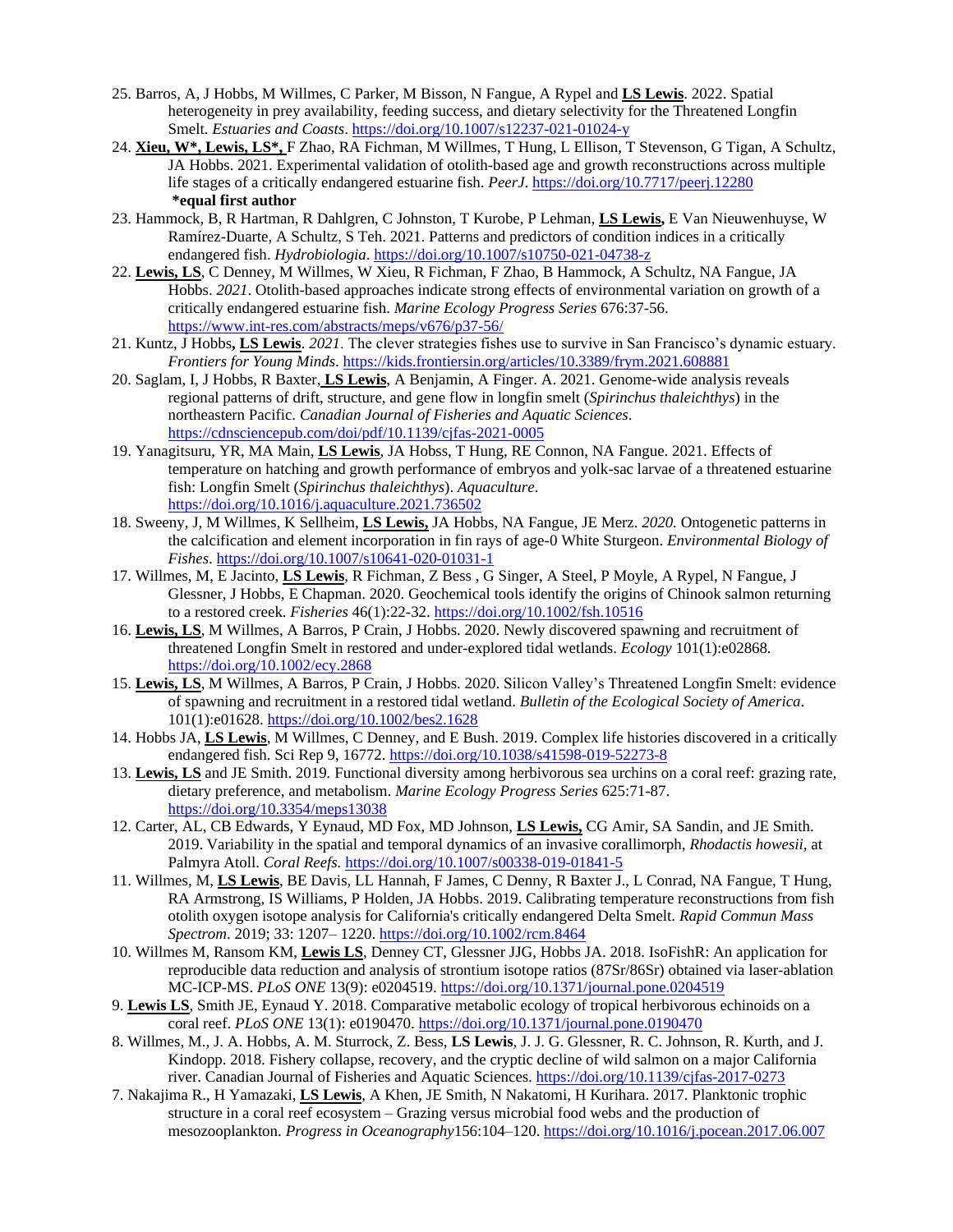- 25. Barros, A, J Hobbs, M Willmes, C Parker, M Bisson, N Fangue, A Rypel and **LS Lewis**. 2022. Spatial heterogeneity in prey availability, feeding success, and dietary selectivity for the Threatened Longfin Smelt. *Estuaries and Coasts*.<https://doi.org/10.1007/s12237-021-01024-y>
- 24. **Xieu, W\*, Lewis, LS\*,** F Zhao, RA Fichman, M Willmes, T Hung, L Ellison, T Stevenson, G Tigan, A Schultz, JA Hobbs. 2021. Experimental validation of otolith-based age and growth reconstructions across multiple life stages of a critically endangered estuarine fish. *PeerJ*. <https://doi.org/10.7717/peerj.12280> **\*equal first author**
- 23. Hammock, B, R Hartman, R Dahlgren, C Johnston, T Kurobe, P Lehman, **LS Lewis,** E Van Nieuwenhuyse, W Ramírez-Duarte, A Schultz, S Teh. 2021. Patterns and predictors of condition indices in a critically endangered fish. *Hydrobiologia*. <https://doi.org/10.1007/s10750-021-04738-z>
- 22. **Lewis, LS**, C Denney, M Willmes, W Xieu, R Fichman, F Zhao, B Hammock, A Schultz, NA Fangue, JA Hobbs. *2021*. Otolith-based approaches indicate strong effects of environmental variation on growth of a critically endangered estuarine fish. *Marine Ecology Progress Series* 676:37-56. <https://www.int-res.com/abstracts/meps/v676/p37-56/>
- 21. Kuntz, J Hobbs**, LS Lewis**. *2021*. The clever strategies fishes use to survive in San Francisco's dynamic estuary. *Frontiers for Young Minds*[. https://kids.frontiersin.org/articles/10.3389/frym.2021.608881](https://kids.frontiersin.org/articles/10.3389/frym.2021.608881)
- 20. Saglam, I, J Hobbs, R Baxter, **LS Lewis**, A Benjamin, A Finger. A. 2021. Genome-wide analysis reveals regional patterns of drift, structure, and gene flow in longfin smelt (*Spirinchus thaleichthys*) in the northeastern Pacific. *Canadian Journal of Fisheries and Aquatic Sciences*. <https://cdnsciencepub.com/doi/pdf/10.1139/cjfas-2021-0005>
- 19. Yanagitsuru, YR, MA Main, **LS Lewis**, JA Hobss, T Hung, RE Connon, NA Fangue. 2021. Effects of temperature on hatching and growth performance of embryos and yolk-sac larvae of a threatened estuarine fish: Longfin Smelt (*Spirinchus thaleichthys*). *Aquaculture*. <https://doi.org/10.1016/j.aquaculture.2021.736502>
- 18. Sweeny, J, M Willmes, K Sellheim, **LS Lewis,** JA Hobbs, NA Fangue, JE Merz. *2020.* Ontogenetic patterns in the calcification and element incorporation in fin rays of age-0 White Sturgeon. *Environmental Biology of Fishes*. <https://doi.org/10.1007/s10641-020-01031-1>
- 17. Willmes, M, E Jacinto, **LS Lewis**, R Fichman, Z Bess , G Singer, A Steel, P Moyle, A Rypel, N Fangue, J Glessner, J Hobbs, E Chapman. 2020*.* Geochemical tools identify the origins of Chinook salmon returning to a restored creek. *Fisheries* 46(1):22-32. <https://doi.org/10.1002/fsh.10516>
- 16. **Lewis, LS**, M Willmes, A Barros, P Crain, J Hobbs. 2020. Newly discovered spawning and recruitment of threatened Longfin Smelt in restored and under-explored tidal wetlands. *Ecology* 101(1):e02868*.*  <https://doi.org/10.1002/ecy.2868>
- 15. **Lewis, LS**, M Willmes, A Barros, P Crain, J Hobbs. 2020. Silicon Valley's Threatened Longfin Smelt: evidence of spawning and recruitment in a restored tidal wetland. *Bulletin of the Ecological Society of America*. 101(1):e01628.<https://doi.org/10.1002/bes2.1628>
- 14. Hobbs JA, **LS Lewis**, M Willmes, C Denney, and E Bush. 2019. Complex life histories discovered in a critically endangered fish. Sci Rep 9, 16772.<https://doi.org/10.1038/s41598-019-52273-8>
- 13. **Lewis, LS** and JE Smith. 2019*.* Functional diversity among herbivorous sea urchins on a coral reef: grazing rate, dietary preference, and metabolism. *Marine Ecology Progress Series* 625:71-87. <https://doi.org/10.3354/meps13038>
- 12. Carter, AL, CB Edwards, Y Eynaud, MD Fox, MD Johnson, **LS Lewis,** CG Amir, SA Sandin, and JE Smith. 2019. Variability in the spatial and temporal dynamics of an invasive corallimorph, *Rhodactis howesii,* at Palmyra Atoll. *Coral Reefs.* <https://doi.org/10.1007/s00338-019-01841-5>
- 11. Willmes, M, **LS Lewis**, BE Davis, LL Hannah, F James, C Denny, R Baxter J., L Conrad, NA Fangue, T Hung, RA Armstrong, IS Williams, P Holden, JA Hobbs. 2019. Calibrating temperature reconstructions from fish otolith oxygen isotope analysis for California's critically endangered Delta Smelt. *Rapid Commun Mass Spectrom*. 2019; 33: 1207– 1220.<https://doi.org/10.1002/rcm.8464>
- 10. Willmes M, Ransom KM, **Lewis LS**, Denney CT, Glessner JJG, Hobbs JA. 2018. IsoFishR: An application for reproducible data reduction and analysis of strontium isotope ratios (87Sr/86Sr) obtained via laser-ablation MC-ICP-MS. *PLoS ONE* 13(9): e0204519.<https://doi.org/10.1371/journal.pone.0204519>
- 9. **Lewis LS**, Smith JE, Eynaud Y. 2018. Comparative metabolic ecology of tropical herbivorous echinoids on a coral reef. *PLoS ONE* 13(1): e0190470.<https://doi.org/10.1371/journal.pone.0190470>
- 8. Willmes, M., J. A. Hobbs, A. M. Sturrock, Z. Bess, **LS Lewis**, J. J. G. Glessner, R. C. Johnson, R. Kurth, and J. Kindopp. 2018. Fishery collapse, recovery, and the cryptic decline of wild salmon on a major California river. Canadian Journal of Fisheries and Aquatic Sciences. <https://doi.org/10.1139/cjfas-2017-0273>
- 7. Nakajima R., H Yamazaki, **LS Lewis**, A Khen, JE Smith, N Nakatomi, H Kurihara. 2017. Planktonic trophic structure in a coral reef ecosystem – Grazing versus microbial food webs and the production of mesozooplankton. *Progress in Oceanography*156:104–120. <https://doi.org/10.1016/j.pocean.2017.06.007>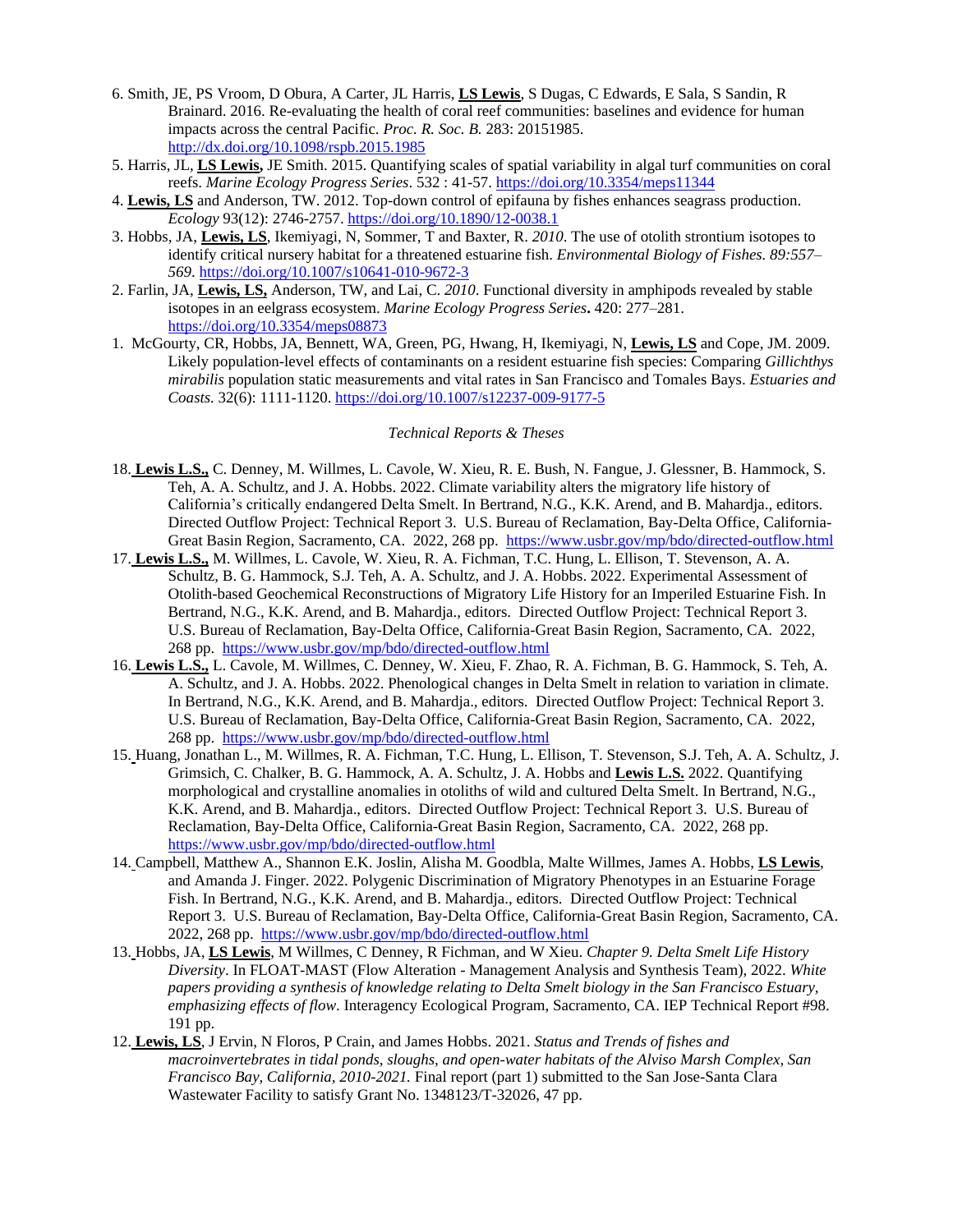- 6. Smith, JE, PS Vroom, D Obura, A Carter, JL Harris, **LS Lewis**, S Dugas, C Edwards, E Sala, S Sandin, R Brainard. 2016. Re-evaluating the health of coral reef communities: baselines and evidence for human impacts across the central Pacific. *Proc. R. Soc. B.* 283: 20151985. <http://dx.doi.org/10.1098/rspb.2015.1985>
- 5. Harris, JL, **LS Lewis,** JE Smith. 2015. Quantifying scales of spatial variability in algal turf communities on coral reefs. *Marine Ecology Progress Series*. 532 : 41-57. <https://doi.org/10.3354/meps11344>
- 4. **Lewis, LS** and Anderson, TW. 2012. Top-down control of epifauna by fishes enhances seagrass production. *Ecology* 93(12): 2746-2757. <https://doi.org/10.1890/12-0038.1>
- 3. Hobbs, JA, **Lewis, LS**, Ikemiyagi, N, Sommer, T and Baxter, R. *2010*. The use of otolith strontium isotopes to identify critical nursery habitat for a threatened estuarine fish. *Environmental Biology of Fishes. 89:557– 569*.<https://doi.org/10.1007/s10641-010-9672-3>
- 2. Farlin, JA, **Lewis, LS,** Anderson, TW, and Lai, C. *2010*. Functional diversity in amphipods revealed by stable isotopes in an eelgrass ecosystem. *Marine Ecology Progress Series***.** 420: 277–281. <https://doi.org/10.3354/meps08873>
- 1. McGourty, CR, Hobbs, JA, Bennett, WA, Green, PG, Hwang, H, Ikemiyagi, N, **Lewis, LS** and Cope, JM. 2009. Likely population-level effects of contaminants on a resident estuarine fish species: Comparing *Gillichthys mirabilis* population static measurements and vital rates in San Francisco and Tomales Bays. *Estuaries and Coasts.* 32(6): 1111-1120[. https://doi.org/10.1007/s12237-009-9177-5](https://doi.org/10.1007/s12237-009-9177-5)

#### *Technical Reports & Theses*

- 18. **Lewis L.S.,** C. Denney, M. Willmes, L. Cavole, W. Xieu, R. E. Bush, N. Fangue, J. Glessner, B. Hammock, S. Teh, A. A. Schultz, and J. A. Hobbs. 2022. Climate variability alters the migratory life history of California's critically endangered Delta Smelt. In Bertrand, N.G., K.K. Arend, and B. Mahardja., editors. Directed Outflow Project: Technical Report 3. U.S. Bureau of Reclamation, Bay-Delta Office, California-Great Basin Region, Sacramento, CA. 2022, 268 pp. <https://www.usbr.gov/mp/bdo/directed-outflow.html>
- 17. **Lewis L.S.,** M. Willmes, L. Cavole, W. Xieu, R. A. Fichman, T.C. Hung, L. Ellison, T. Stevenson, A. A. Schultz, B. G. Hammock, S.J. Teh, A. A. Schultz, and J. A. Hobbs. 2022. Experimental Assessment of Otolith-based Geochemical Reconstructions of Migratory Life History for an Imperiled Estuarine Fish. In Bertrand, N.G., K.K. Arend, and B. Mahardja., editors. Directed Outflow Project: Technical Report 3. U.S. Bureau of Reclamation, Bay-Delta Office, California-Great Basin Region, Sacramento, CA. 2022, 268 pp. <https://www.usbr.gov/mp/bdo/directed-outflow.html>
- 16. **Lewis L.S.,** L. Cavole, M. Willmes, C. Denney, W. Xieu, F. Zhao, R. A. Fichman, B. G. Hammock, S. Teh, A. A. Schultz, and J. A. Hobbs. 2022. Phenological changes in Delta Smelt in relation to variation in climate. In Bertrand, N.G., K.K. Arend, and B. Mahardja., editors. Directed Outflow Project: Technical Report 3. U.S. Bureau of Reclamation, Bay-Delta Office, California-Great Basin Region, Sacramento, CA. 2022, 268 pp. <https://www.usbr.gov/mp/bdo/directed-outflow.html>
- 15. Huang, Jonathan L., M. Willmes, R. A. Fichman, T.C. Hung, L. Ellison, T. Stevenson, S.J. Teh, A. A. Schultz, J. Grimsich, C. Chalker, B. G. Hammock, A. A. Schultz, J. A. Hobbs and **Lewis L.S.** 2022. Quantifying morphological and crystalline anomalies in otoliths of wild and cultured Delta Smelt. In Bertrand, N.G., K.K. Arend, and B. Mahardja., editors. Directed Outflow Project: Technical Report 3. U.S. Bureau of Reclamation, Bay-Delta Office, California-Great Basin Region, Sacramento, CA. 2022, 268 pp. <https://www.usbr.gov/mp/bdo/directed-outflow.html>
- 14. Campbell, Matthew A., Shannon E.K. Joslin, Alisha M. Goodbla, Malte Willmes, James A. Hobbs, **LS Lewis**, and Amanda J. Finger. 2022. Polygenic Discrimination of Migratory Phenotypes in an Estuarine Forage Fish. In Bertrand, N.G., K.K. Arend, and B. Mahardja., editors. Directed Outflow Project: Technical Report 3. U.S. Bureau of Reclamation, Bay-Delta Office, California-Great Basin Region, Sacramento, CA. 2022, 268 pp. <https://www.usbr.gov/mp/bdo/directed-outflow.html>
- 13. Hobbs, JA, **LS Lewis**, M Willmes, C Denney, R Fichman, and W Xieu. *Chapter 9. Delta Smelt Life History Diversity*. In FLOAT-MAST (Flow Alteration - Management Analysis and Synthesis Team), 2022. *White papers providing a synthesis of knowledge relating to Delta Smelt biology in the San Francisco Estuary, emphasizing effects of flow*. Interagency Ecological Program, Sacramento, CA. IEP Technical Report #98. 191 pp.
- 12. **Lewis, LS**, J Ervin, N Floros, P Crain, and James Hobbs. 2021. *Status and Trends of fishes and macroinvertebrates in tidal ponds, sloughs, and open-water habitats of the Alviso Marsh Complex, San Francisco Bay, California, 2010-2021.* Final report (part 1) submitted to the San Jose-Santa Clara Wastewater Facility to satisfy Grant No. 1348123/T-32026, 47 pp.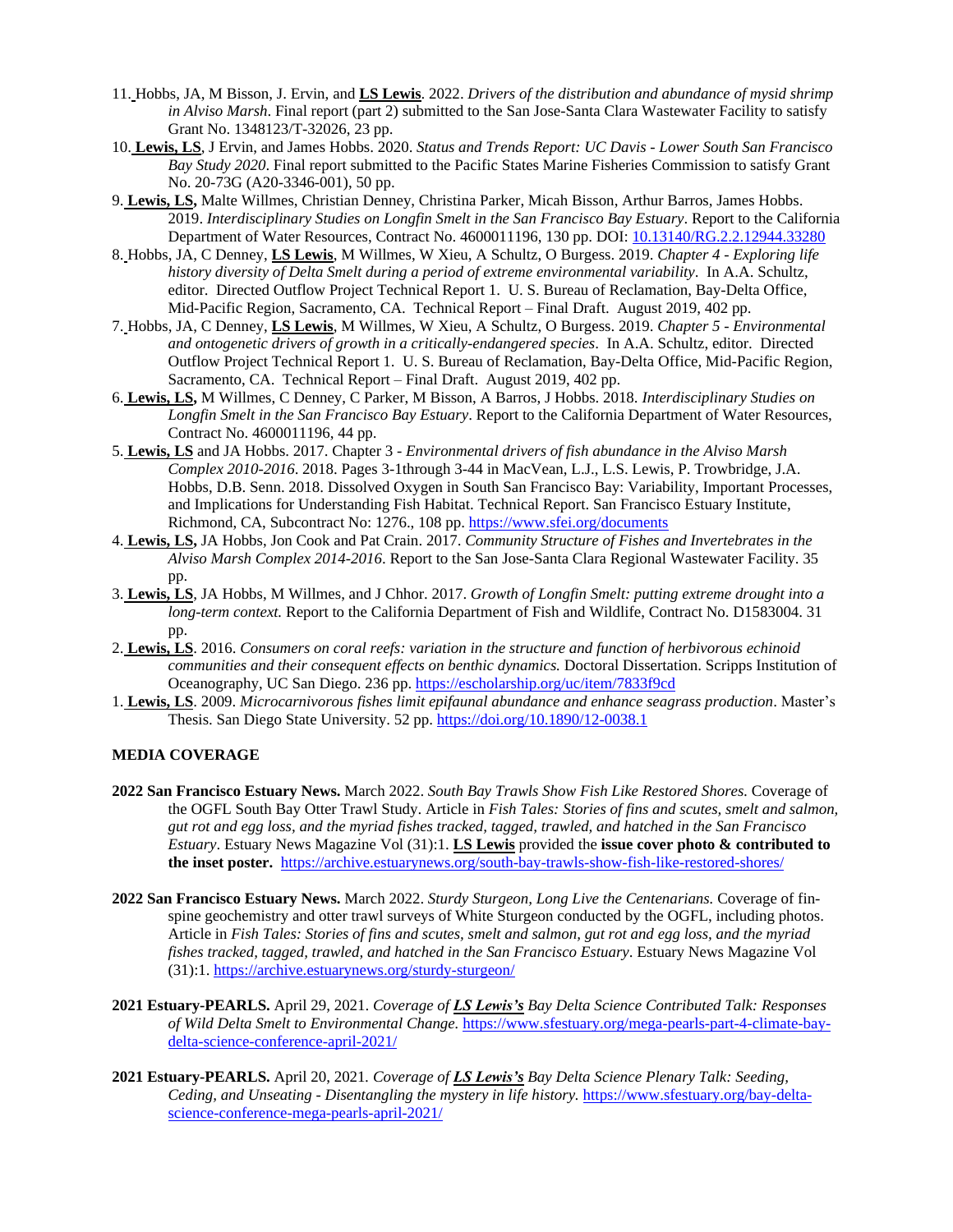- 11. Hobbs, JA, M Bisson, J. Ervin, and **LS Lewis**. 2022. *Drivers of the distribution and abundance of mysid shrimp in Alviso Marsh*. Final report (part 2) submitted to the San Jose-Santa Clara Wastewater Facility to satisfy Grant No. 1348123/T-32026, 23 pp.
- 10. **Lewis, LS**, J Ervin, and James Hobbs. 2020. *Status and Trends Report: UC Davis - Lower South San Francisco Bay Study 2020*. Final report submitted to the Pacific States Marine Fisheries Commission to satisfy Grant No. 20-73G (A20-3346-001), 50 pp.
- 9. **Lewis, LS,** Malte Willmes, Christian Denney, Christina Parker, Micah Bisson, Arthur Barros, James Hobbs. 2019. *Interdisciplinary Studies on Longfin Smelt in the San Francisco Bay Estuary*. Report to the California Department of Water Resources, Contract No. 4600011196, 130 pp. DOI: [10.13140/RG.2.2.12944.33280](https://www.researchgate.net/deref/http%3A%2F%2Fdx.doi.org%2F10.13140%2FRG.2.2.12944.33280?_sg%5B0%5D=257l66l1GF3GaBoUc8vX-2MKOGHQUicMDPghjoMAOPj6tW4TTEgFp_jBXfGsB4bbydCfGhvr7B-p_FkY6eEjwAWvWQ.ibbakW6rmAfdKrD9O9U9SaSkN15vEmPHRYLMSnx1cMwWI56hcnEtpaBGIlVSCR8hg5swEjCMztlQ58pLZrd8gw)
- 8. Hobbs, JA, C Denney, **LS Lewis**, M Willmes, W Xieu, A Schultz, O Burgess. 2019. *Chapter 4 - Exploring life history diversity of Delta Smelt during a period of extreme environmental variability*. In A.A. Schultz, editor. Directed Outflow Project Technical Report 1. U. S. Bureau of Reclamation, Bay-Delta Office, Mid-Pacific Region, Sacramento, CA. Technical Report – Final Draft. August 2019, 402 pp.
- 7. Hobbs, JA, C Denney, **LS Lewis**, M Willmes, W Xieu, A Schultz, O Burgess. 2019. *Chapter 5 - Environmental and ontogenetic drivers of growth in a critically-endangered species*. In A.A. Schultz, editor. Directed Outflow Project Technical Report 1. U. S. Bureau of Reclamation, Bay-Delta Office, Mid-Pacific Region, Sacramento, CA. Technical Report – Final Draft. August 2019, 402 pp.
- 6. **Lewis, LS,** M Willmes, C Denney, C Parker, M Bisson, A Barros, J Hobbs. 2018. *Interdisciplinary Studies on Longfin Smelt in the San Francisco Bay Estuary*. Report to the California Department of Water Resources, Contract No. 4600011196, 44 pp.
- 5. **Lewis, LS** and JA Hobbs. 2017. Chapter 3 *Environmental drivers of fish abundance in the Alviso Marsh Complex 2010-2016*. 2018. Pages 3-1through 3-44 in MacVean, L.J., L.S. Lewis, P. Trowbridge, J.A. Hobbs, D.B. Senn. 2018. Dissolved Oxygen in South San Francisco Bay: Variability, Important Processes, and Implications for Understanding Fish Habitat. Technical Report. San Francisco Estuary Institute, Richmond, CA, Subcontract No: 1276., 108 pp. [https://www.sfei.org/documents](https://www.sfei.org/documents/dissolved-oxygen-south-san-francisco-bay-variability-important-processes-and-implications)
- 4. **Lewis, LS,** JA Hobbs, Jon Cook and Pat Crain. 2017. *Community Structure of Fishes and Invertebrates in the Alviso Marsh Complex 2014-2016*. Report to the San Jose-Santa Clara Regional Wastewater Facility. 35 pp.
- 3. **Lewis, LS**, JA Hobbs, M Willmes, and J Chhor. 2017. *Growth of Longfin Smelt: putting extreme drought into a long-term context.* Report to the California Department of Fish and Wildlife, Contract No. D1583004. 31 pp.
- 2. **Lewis, LS**. 2016. *Consumers on coral reefs: variation in the structure and function of herbivorous echinoid communities and their consequent effects on benthic dynamics.* Doctoral Dissertation. Scripps Institution of Oceanography, UC San Diego. 236 pp. <https://escholarship.org/uc/item/7833f9cd>
- 1. **Lewis, LS**. 2009. *Microcarnivorous fishes limit epifaunal abundance and enhance seagrass production*. Master's Thesis. San Diego State University. 52 pp. <https://doi.org/10.1890/12-0038.1>

## **MEDIA COVERAGE**

- **2022 San Francisco Estuary News.** March 2022. *South Bay Trawls Show Fish Like Restored Shores.* Coverage of the OGFL South Bay Otter Trawl Study. Article in *Fish Tales: Stories of fins and scutes, smelt and salmon, gut rot and egg loss, and the myriad fishes tracked, tagged, trawled, and hatched in the San Francisco Estuary*. Estuary News Magazine Vol (31):1. **LS Lewis** provided the **issue cover photo & contributed to the inset poster.** <https://archive.estuarynews.org/south-bay-trawls-show-fish-like-restored-shores/>
- **2022 San Francisco Estuary News.** March 2022. *Sturdy Sturgeon, Long Live the Centenarians.* Coverage of finspine geochemistry and otter trawl surveys of White Sturgeon conducted by the OGFL, including photos. Article in *Fish Tales: Stories of fins and scutes, smelt and salmon, gut rot and egg loss, and the myriad fishes tracked, tagged, trawled, and hatched in the San Francisco Estuary*. Estuary News Magazine Vol (31):1[. https://archive.estuarynews.org/sturdy-sturgeon/](https://archive.estuarynews.org/sturdy-sturgeon/)
- **2021 Estuary-PEARLS.** April 29, 2021. *Coverage of LS Lewis's Bay Delta Science Contributed Talk: Responses of Wild Delta Smelt to Environmental Change.* [https://www.sfestuary.org/mega-pearls-part-4-climate-bay](https://www.sfestuary.org/mega-pearls-part-4-climate-bay-delta-science-conference-april-2021/)[delta-science-conference-april-2021/](https://www.sfestuary.org/mega-pearls-part-4-climate-bay-delta-science-conference-april-2021/)
- **2021 Estuary-PEARLS.** April 20, 2021*. Coverage of LS Lewis's Bay Delta Science Plenary Talk: Seeding, Ceding, and Unseating - Disentangling the mystery in life history.* [https://www.sfestuary.org/bay-delta](https://www.sfestuary.org/bay-delta-science-conference-mega-pearls-april-2021/)[science-conference-mega-pearls-april-2021/](https://www.sfestuary.org/bay-delta-science-conference-mega-pearls-april-2021/)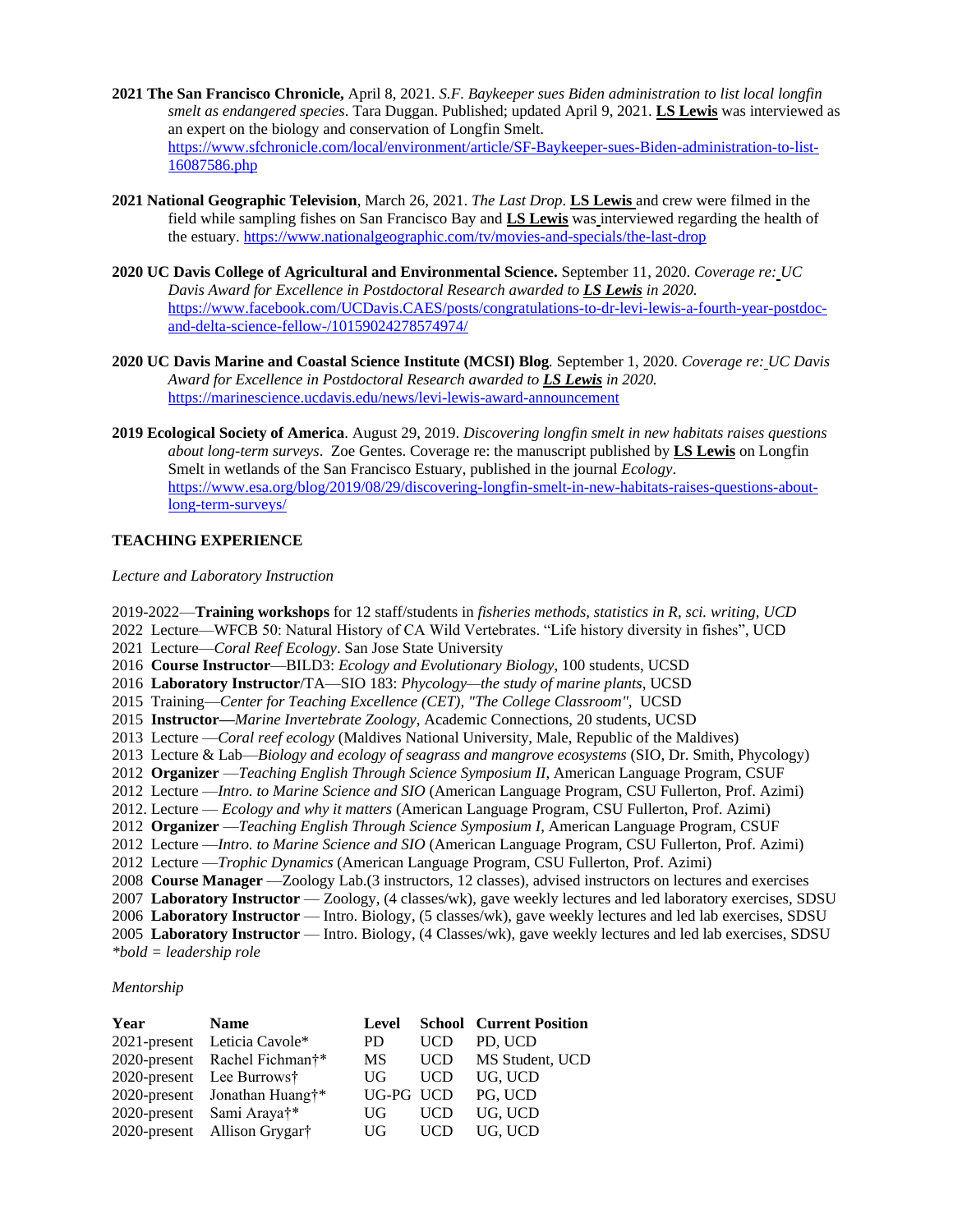- **2021 The San Francisco Chronicle,** April 8, 2021*. S.F. Baykeeper sues Biden administration to list local longfin smelt as endangered species*. Tara Duggan. Published; updated April 9, 2021. **LS Lewis** was interviewed as an expert on the biology and conservation of Longfin Smelt. [https://www.sfchronicle.com/local/environment/article/SF-Baykeeper-sues-Biden-administration-to-list-](https://www.sfchronicle.com/local/environment/article/SF-Baykeeper-sues-Biden-administration-to-list-16087586.php)[16087586.php](https://www.sfchronicle.com/local/environment/article/SF-Baykeeper-sues-Biden-administration-to-list-16087586.php)
- **2021 National Geographic Television**, March 26, 2021. *The Last Drop*. **LS Lewis** and crew were filmed in the field while sampling fishes on San Francisco Bay and **LS Lewis** was interviewed regarding the health of the estuary[. https://www.nationalgeographic.com/tv/movies-and-specials/the-last-drop](https://www.nationalgeographic.com/tv/movies-and-specials/the-last-drop)
- **2020 UC Davis College of Agricultural and Environmental Science.** September 11, 2020. *Coverage re: UC Davis Award for Excellence in Postdoctoral Research awarded to LS Lewis in 2020.* [https://www.facebook.com/UCDavis.CAES/posts/congratulations-to-dr-levi-lewis-a-fourth-year-postdoc](https://www.facebook.com/UCDavis.CAES/posts/congratulations-to-dr-levi-lewis-a-fourth-year-postdoc-and-delta-science-fellow-/10159024278574974/)[and-delta-science-fellow-/10159024278574974/](https://www.facebook.com/UCDavis.CAES/posts/congratulations-to-dr-levi-lewis-a-fourth-year-postdoc-and-delta-science-fellow-/10159024278574974/)
- **2020 UC Davis Marine and Coastal Science Institute (MCSI) Blog***.* September 1, 2020. *Coverage re: UC Davis Award for Excellence in Postdoctoral Research awarded to LS Lewis in 2020.* <https://marinescience.ucdavis.edu/news/levi-lewis-award-announcement>
- **2019 Ecological Society of America**. August 29, 2019. *Discovering longfin smelt in new habitats raises questions about long-term surveys*. Zoe Gentes. Coverage re: the manuscript published by **LS Lewis** on Longfin Smelt in wetlands of the San Francisco Estuary, published in the journal *Ecology*. [https://www.esa.org/blog/2019/08/29/discovering-longfin-smelt-in-new-habitats-raises-questions-about](https://www.esa.org/blog/2019/08/29/discovering-longfin-smelt-in-new-habitats-raises-questions-about-long-term-surveys/)[long-term-surveys/](https://www.esa.org/blog/2019/08/29/discovering-longfin-smelt-in-new-habitats-raises-questions-about-long-term-surveys/)

## **TEACHING EXPERIENCE**

## *Lecture and Laboratory Instruction*

2019-2022—**Training workshops** for 12 staff/students in *fisheries methods, statistics in R, sci. writing, UCD* 2022 Lecture—WFCB 50: Natural History of CA Wild Vertebrates. "Life history diversity in fishes", UCD 2021 Lecture—*Coral Reef Ecology*. San Jose State University 2016 **Course Instructor**—BILD3: *Ecology and Evolutionary Biology*, 100 students, UCSD 2016 **Laboratory Instructor**/TA—SIO 183: *Phycology—the study of marine plants*, UCSD 2015 Training—*Center for Teaching Excellence (CET), "The College Classroom",* UCSD 2015 **Instructor—***Marine Invertebrate Zoology*, Academic Connections, 20 students, UCSD 2013 Lecture —*Coral reef ecology* (Maldives National University, Male, Republic of the Maldives) 2013 Lecture & Lab—*Biology and ecology of seagrass and mangrove ecosystems* (SIO, Dr. Smith, Phycology) 2012 **Organizer** —*Teaching English Through Science Symposium II*, American Language Program, CSUF 2012 Lecture —*Intro. to Marine Science and SIO* (American Language Program, CSU Fullerton, Prof. Azimi) 2012. Lecture — *Ecology and why it matters* (American Language Program, CSU Fullerton, Prof. Azimi) 2012 **Organizer** —*Teaching English Through Science Symposium I*, American Language Program, CSUF 2012 Lecture —*Intro. to Marine Science and SIO* (American Language Program, CSU Fullerton, Prof. Azimi) 2012 Lecture —*Trophic Dynamics* (American Language Program, CSU Fullerton, Prof. Azimi) 2008 **Course Manager** —Zoology Lab.(3 instructors, 12 classes), advised instructors on lectures and exercises 2007 **Laboratory Instructor** — Zoology, (4 classes/wk), gave weekly lectures and led laboratory exercises, SDSU 2006 **Laboratory Instructor** — Intro. Biology, (5 classes/wk), gave weekly lectures and led lab exercises, SDSU 2005 **Laboratory Instructor** — Intro. Biology, (4 Classes/wk), gave weekly lectures and led lab exercises, SDSU *\*bold = leadership role*

#### *Mentorship*

| Year | <b>Name</b>                               |           |            | <b>Level School Current Position</b> |
|------|-------------------------------------------|-----------|------------|--------------------------------------|
|      | 2021-present Leticia Cavole*              | PD -      | <b>UCD</b> | PD. UCD                              |
|      | 2020-present Rachel Fichman <sup>†*</sup> | <b>MS</b> |            | UCD MS Student, UCD                  |
|      | 2020-present Lee Burrows†                 | UG-       | <b>UCD</b> | UG. UCD                              |
|      | 2020-present Jonathan Huang†*             |           |            | UG-PG UCD PG. UCD                    |
|      | 2020-present Sami Araya <sup>†*</sup>     | UG        | <b>UCD</b> | UG. UCD                              |
|      | 2020-present Allison Grygart              | UG        | <b>UCD</b> | UG. UCD                              |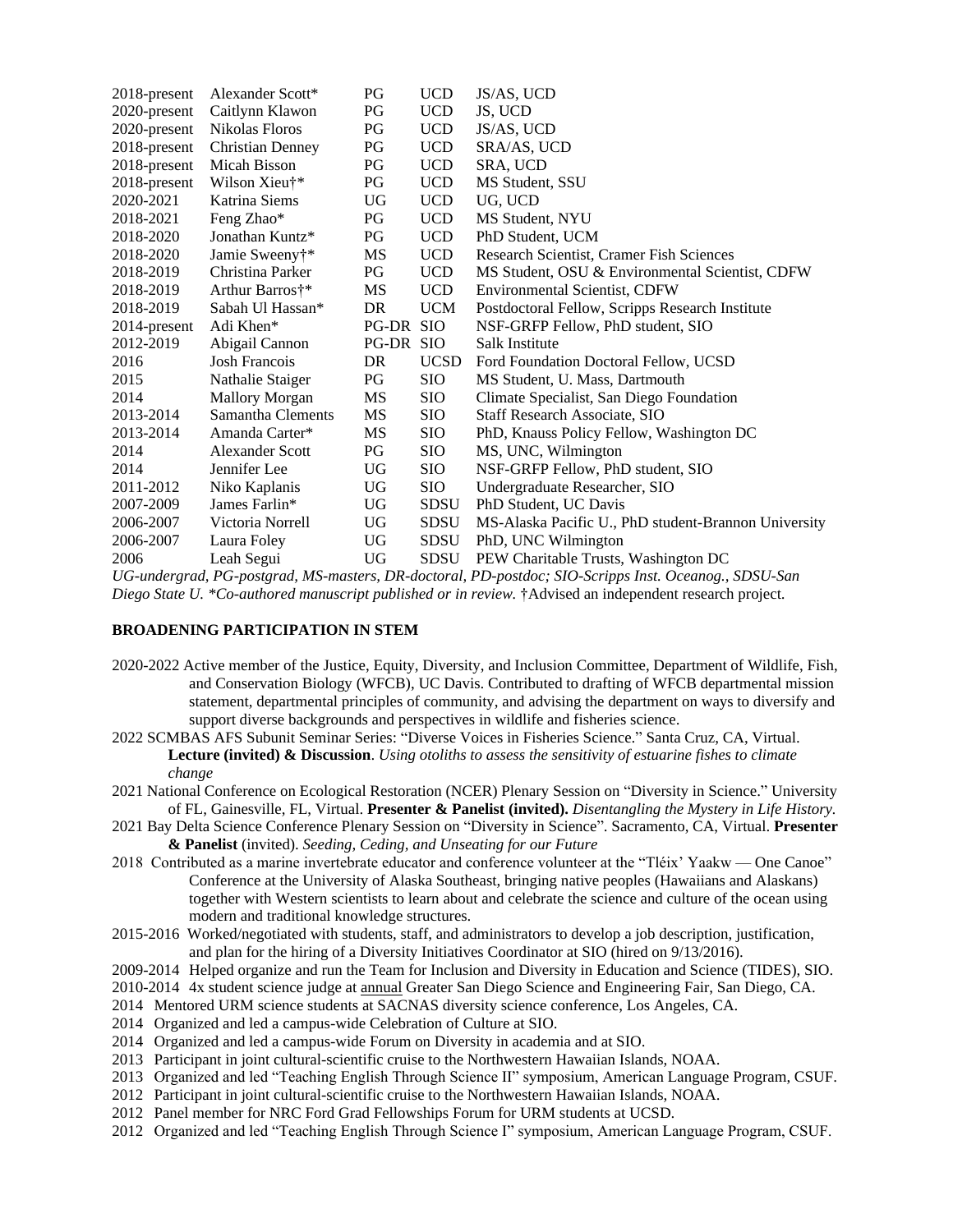| Caitlynn Klawon<br>Nikolas Floros | PG<br>PG                | <b>UCD</b>  | JS, UCD                                              |
|-----------------------------------|-------------------------|-------------|------------------------------------------------------|
|                                   |                         |             |                                                      |
|                                   |                         | <b>UCD</b>  | JS/AS, UCD                                           |
|                                   | PG                      | <b>UCD</b>  | SRA/AS, UCD                                          |
| Micah Bisson                      | PG                      | <b>UCD</b>  | SRA, UCD                                             |
| Wilson Xieu†*                     | PG                      | <b>UCD</b>  | MS Student, SSU                                      |
| Katrina Siems                     | UG                      | <b>UCD</b>  | UG, UCD                                              |
| Feng Zhao*                        | PG                      | <b>UCD</b>  | MS Student, NYU                                      |
| Jonathan Kuntz*                   | PG                      | <b>UCD</b>  | PhD Student, UCM                                     |
| Jamie Sweeny†*                    | MS                      | <b>UCD</b>  | Research Scientist, Cramer Fish Sciences             |
| Christina Parker                  | PG                      | <b>UCD</b>  | MS Student, OSU & Environmental Scientist, CDFW      |
| Arthur Barros†*                   | MS                      | <b>UCD</b>  | <b>Environmental Scientist, CDFW</b>                 |
| Sabah Ul Hassan*                  | DR.                     | <b>UCM</b>  | Postdoctoral Fellow, Scripps Research Institute      |
| Adi Khen*                         |                         |             | NSF-GRFP Fellow, PhD student, SIO                    |
| Abigail Cannon                    |                         |             | Salk Institute                                       |
| <b>Josh Francois</b>              | DR                      | <b>UCSD</b> | Ford Foundation Doctoral Fellow, UCSD                |
| Nathalie Staiger                  | PG                      | <b>SIO</b>  | MS Student, U. Mass, Dartmouth                       |
| <b>Mallory Morgan</b>             | MS                      | <b>SIO</b>  | Climate Specialist, San Diego Foundation             |
| Samantha Clements                 | MS                      | <b>SIO</b>  | Staff Research Associate, SIO                        |
| Amanda Carter*                    | MS                      | <b>SIO</b>  | PhD, Knauss Policy Fellow, Washington DC             |
| <b>Alexander Scott</b>            | PG                      | <b>SIO</b>  | MS, UNC, Wilmington                                  |
| Jennifer Lee                      | UG                      | <b>SIO</b>  | NSF-GRFP Fellow, PhD student, SIO                    |
| Niko Kaplanis                     | UG                      | SIO         | Undergraduate Researcher, SIO                        |
| James Farlin*                     | UG                      | <b>SDSU</b> | PhD Student, UC Davis                                |
| Victoria Norrell                  | UG                      | <b>SDSU</b> | MS-Alaska Pacific U., PhD student-Brannon University |
| Laura Foley                       | UG                      | <b>SDSU</b> | PhD, UNC Wilmington                                  |
| Leah Segui                        | UG                      | <b>SDSU</b> | PEW Charitable Trusts, Washington DC                 |
|                                   | <b>Christian Denney</b> |             | PG-DR SIO<br>PG-DR SIO                               |

*UG-undergrad, PG-postgrad, MS-masters, DR-doctoral, PD-postdoc; SIO-Scripps Inst. Oceanog., SDSU-San Diego State U. \*Co-authored manuscript published or in review.* †Advised an independent research project.

#### **BROADENING PARTICIPATION IN STEM**

- 2020-2022 Active member of the Justice, Equity, Diversity, and Inclusion Committee, Department of Wildlife, Fish, and Conservation Biology (WFCB), UC Davis. Contributed to drafting of WFCB departmental mission statement, departmental principles of community, and advising the department on ways to diversify and support diverse backgrounds and perspectives in wildlife and fisheries science.
- 2022 SCMBAS AFS Subunit Seminar Series: "Diverse Voices in Fisheries Science." Santa Cruz, CA, Virtual. **Lecture (invited) & Discussion**. *Using otoliths to assess the sensitivity of estuarine fishes to climate change*
- 2021 National Conference on Ecological Restoration (NCER) Plenary Session on "Diversity in Science." University of FL, Gainesville, FL, Virtual. **Presenter & Panelist (invited).** *Disentangling the Mystery in Life History.*
- 2021 Bay Delta Science Conference Plenary Session on "Diversity in Science". Sacramento, CA, Virtual. **Presenter & Panelist** (invited). *Seeding, Ceding, and Unseating for our Future*
- 2018 Contributed as a marine invertebrate educator and conference volunteer at the "Tléix' Yaakw One Canoe" Conference at the University of Alaska Southeast, bringing native peoples (Hawaiians and Alaskans) together with Western scientists to learn about and celebrate the science and culture of the ocean using modern and traditional knowledge structures.
- 2015-2016 Worked/negotiated with students, staff, and administrators to develop a job description, justification, and plan for the hiring of a Diversity Initiatives Coordinator at SIO (hired on 9/13/2016).

2009-2014 Helped organize and run the Team for Inclusion and Diversity in Education and Science (TIDES), SIO.

- 2010-2014 4x student science judge at annual Greater San Diego Science and Engineering Fair, San Diego, CA.
- 2014 Mentored URM science students at SACNAS diversity science conference, Los Angeles, CA.
- 2014 Organized and led a campus-wide Celebration of Culture at SIO.
- 2014 Organized and led a campus-wide Forum on Diversity in academia and at SIO.
- 2013 Participant in joint cultural-scientific cruise to the Northwestern Hawaiian Islands, NOAA.
- 2013 Organized and led "Teaching English Through Science II" symposium, American Language Program, CSUF.
- 2012 Participant in joint cultural-scientific cruise to the Northwestern Hawaiian Islands, NOAA.
- 2012 Panel member for NRC Ford Grad Fellowships Forum for URM students at UCSD.
- 2012 Organized and led "Teaching English Through Science I" symposium, American Language Program, CSUF.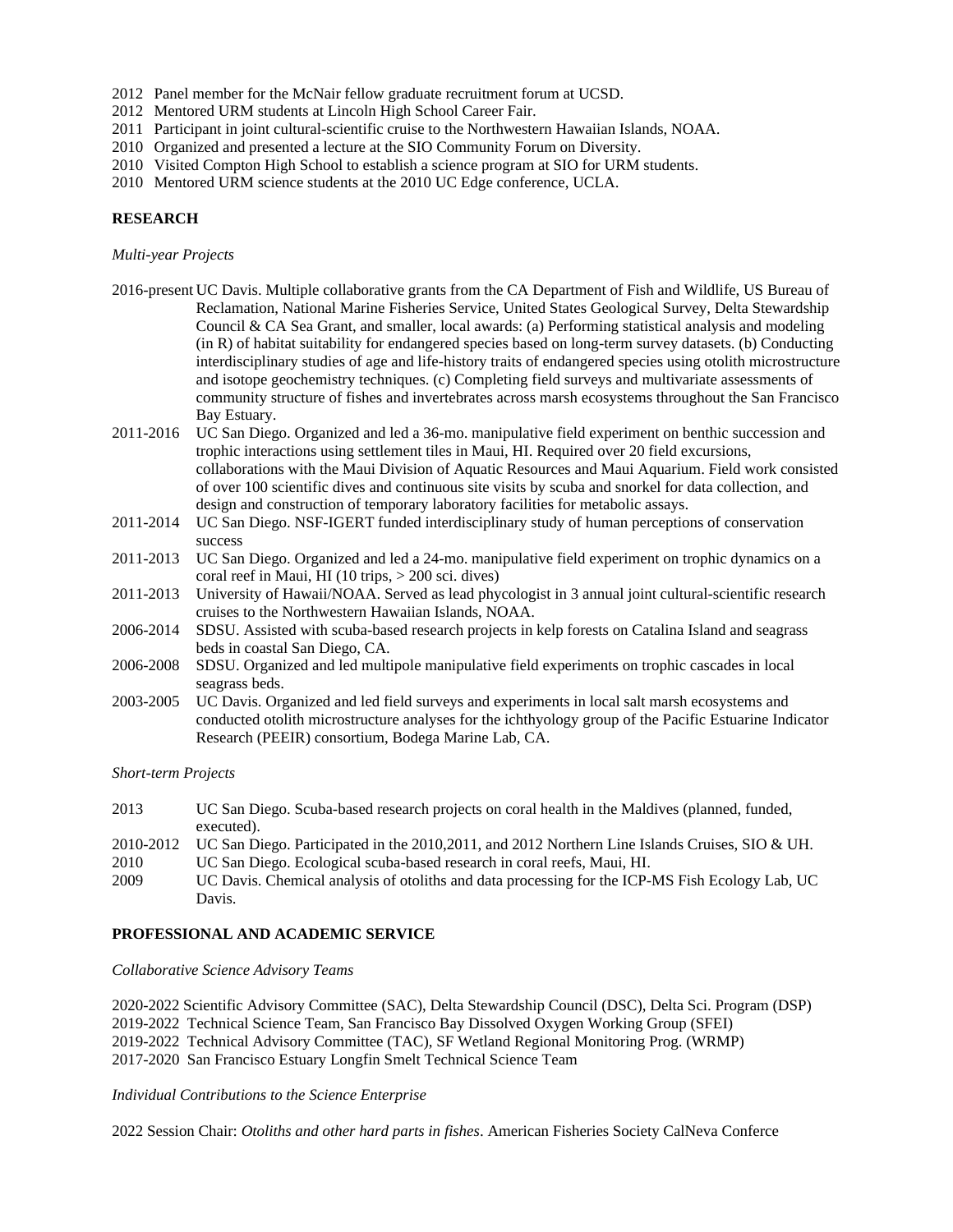- 2012 Panel member for the McNair fellow graduate recruitment forum at UCSD.
- 2012 Mentored URM students at Lincoln High School Career Fair.
- 2011 Participant in joint cultural-scientific cruise to the Northwestern Hawaiian Islands, NOAA.
- 2010 Organized and presented a lecture at the SIO Community Forum on Diversity.
- 2010 Visited Compton High School to establish a science program at SIO for URM students.
- 2010 Mentored URM science students at the 2010 UC Edge conference, UCLA.

# **RESEARCH**

## *Multi-year Projects*

- 2016-present UC Davis. Multiple collaborative grants from the CA Department of Fish and Wildlife, US Bureau of Reclamation, National Marine Fisheries Service, United States Geological Survey, Delta Stewardship Council & CA Sea Grant, and smaller, local awards: (a) Performing statistical analysis and modeling (in R) of habitat suitability for endangered species based on long-term survey datasets. (b) Conducting interdisciplinary studies of age and life-history traits of endangered species using otolith microstructure and isotope geochemistry techniques. (c) Completing field surveys and multivariate assessments of community structure of fishes and invertebrates across marsh ecosystems throughout the San Francisco Bay Estuary.
- 2011-2016 UC San Diego. Organized and led a 36-mo. manipulative field experiment on benthic succession and trophic interactions using settlement tiles in Maui, HI. Required over 20 field excursions, collaborations with the Maui Division of Aquatic Resources and Maui Aquarium. Field work consisted of over 100 scientific dives and continuous site visits by scuba and snorkel for data collection, and design and construction of temporary laboratory facilities for metabolic assays.
- 2011-2014 UC San Diego. NSF-IGERT funded interdisciplinary study of human perceptions of conservation success
- 2011-2013 UC San Diego. Organized and led a 24-mo. manipulative field experiment on trophic dynamics on a coral reef in Maui, HI (10 trips, > 200 sci. dives)
- 2011-2013 University of Hawaii/NOAA. Served as lead phycologist in 3 annual joint cultural-scientific research cruises to the Northwestern Hawaiian Islands, NOAA.
- 2006-2014 SDSU. Assisted with scuba-based research projects in kelp forests on Catalina Island and seagrass beds in coastal San Diego, CA.
- 2006-2008 SDSU. Organized and led multipole manipulative field experiments on trophic cascades in local seagrass beds.
- 2003-2005 UC Davis. Organized and led field surveys and experiments in local salt marsh ecosystems and conducted otolith microstructure analyses for the ichthyology group of the Pacific Estuarine Indicator Research (PEEIR) consortium, Bodega Marine Lab, CA.

*Short-term Projects*

| 2013      | UC San Diego. Scuba-based research projects on coral health in the Maldives (planned, funded,<br>executed). |
|-----------|-------------------------------------------------------------------------------------------------------------|
| 2010-2012 | UC San Diego. Participated in the 2010, 2011, and 2012 Northern Line Islands Cruises, SIO & UH.             |
| 2010      | UC San Diego. Ecological scuba-based research in coral reefs, Maui, HI.                                     |
| 2009      | UC Davis. Chemical analysis of otoliths and data processing for the ICP-MS Fish Ecology Lab, UC             |
|           | Davis.                                                                                                      |

## **PROFESSIONAL AND ACADEMIC SERVICE**

*Collaborative Science Advisory Teams*

2020-2022 Scientific Advisory Committee (SAC), Delta Stewardship Council (DSC), Delta Sci. Program (DSP) 2019-2022 Technical Science Team, San Francisco Bay Dissolved Oxygen Working Group (SFEI) 2019-2022 Technical Advisory Committee (TAC), SF Wetland Regional Monitoring Prog. (WRMP) 2017-2020 San Francisco Estuary Longfin Smelt Technical Science Team

#### *Individual Contributions to the Science Enterprise*

2022 Session Chair: *Otoliths and other hard parts in fishes*. American Fisheries Society CalNeva Conferce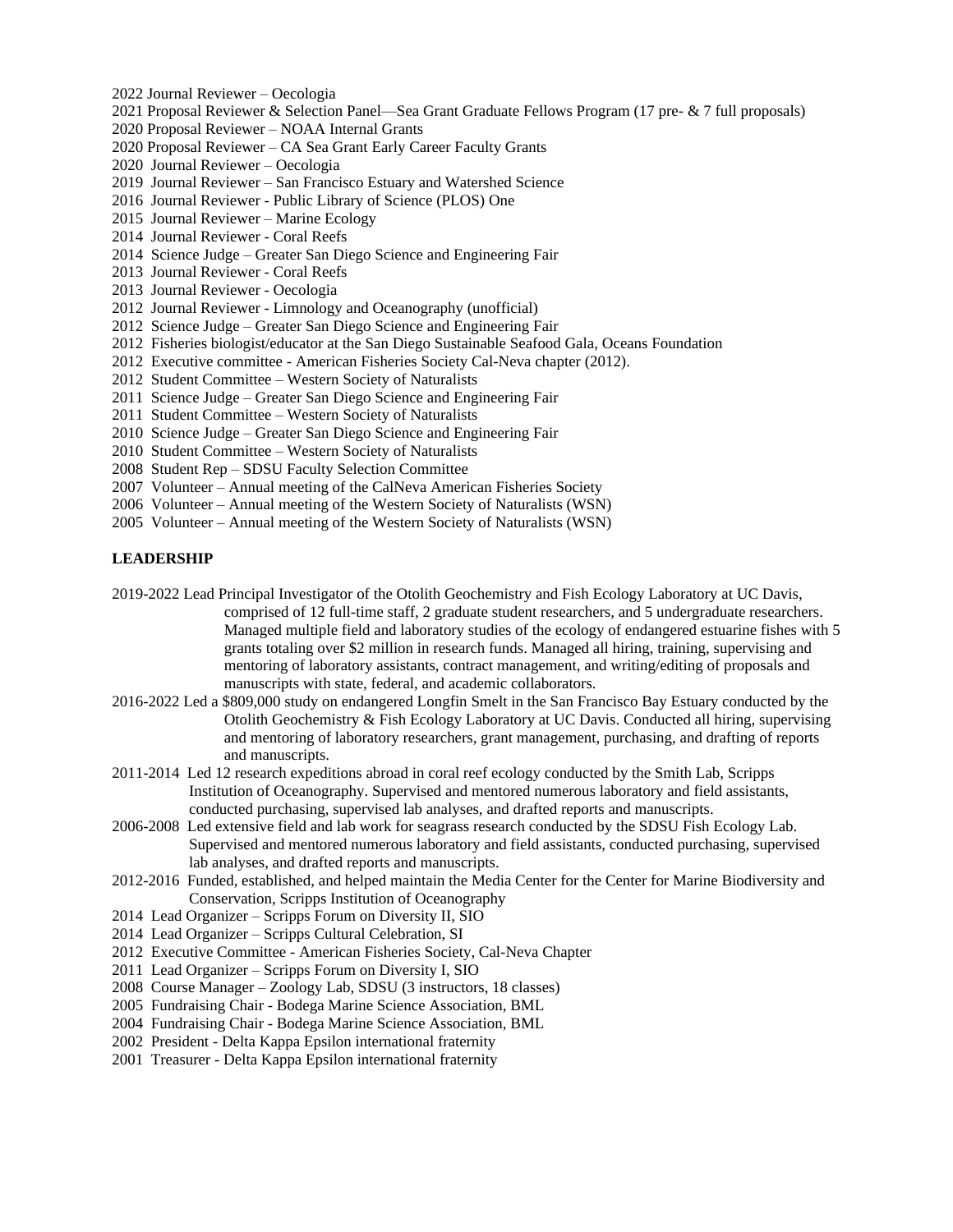- 2022 Journal Reviewer Oecologia
- 2021 Proposal Reviewer & Selection Panel—Sea Grant Graduate Fellows Program (17 pre- & 7 full proposals)
- 2020 Proposal Reviewer NOAA Internal Grants
- 2020 Proposal Reviewer CA Sea Grant Early Career Faculty Grants
- 2020 Journal Reviewer Oecologia
- 2019 Journal Reviewer San Francisco Estuary and Watershed Science
- 2016 Journal Reviewer Public Library of Science (PLOS) One
- 2015 Journal Reviewer Marine Ecology
- 2014 Journal Reviewer Coral Reefs
- 2014 Science Judge Greater San Diego Science and Engineering Fair
- 2013 Journal Reviewer Coral Reefs
- 2013 Journal Reviewer Oecologia
- 2012 Journal Reviewer Limnology and Oceanography (unofficial)
- 2012 Science Judge Greater San Diego Science and Engineering Fair
- 2012 Fisheries biologist/educator at the San Diego Sustainable Seafood Gala, Oceans Foundation
- 2012 Executive committee American Fisheries Society Cal-Neva chapter (2012).
- 2012 Student Committee Western Society of Naturalists
- 2011 Science Judge Greater San Diego Science and Engineering Fair
- 2011 Student Committee Western Society of Naturalists
- 2010 Science Judge Greater San Diego Science and Engineering Fair
- 2010 Student Committee Western Society of Naturalists
- 2008 Student Rep SDSU Faculty Selection Committee
- 2007 Volunteer Annual meeting of the CalNeva American Fisheries Society
- 2006 Volunteer Annual meeting of the Western Society of Naturalists (WSN)
- 2005 Volunteer Annual meeting of the Western Society of Naturalists (WSN)

## **LEADERSHIP**

2019-2022 Lead Principal Investigator of the Otolith Geochemistry and Fish Ecology Laboratory at UC Davis, comprised of 12 full-time staff, 2 graduate student researchers, and 5 undergraduate researchers. Managed multiple field and laboratory studies of the ecology of endangered estuarine fishes with 5 grants totaling over \$2 million in research funds. Managed all hiring, training, supervising and mentoring of laboratory assistants, contract management, and writing/editing of proposals and manuscripts with state, federal, and academic collaborators.

- 2016-2022 Led a \$809,000 study on endangered Longfin Smelt in the San Francisco Bay Estuary conducted by the Otolith Geochemistry & Fish Ecology Laboratory at UC Davis. Conducted all hiring, supervising and mentoring of laboratory researchers, grant management, purchasing, and drafting of reports and manuscripts.
- 2011-2014 Led 12 research expeditions abroad in coral reef ecology conducted by the Smith Lab, Scripps Institution of Oceanography. Supervised and mentored numerous laboratory and field assistants, conducted purchasing, supervised lab analyses, and drafted reports and manuscripts.
- 2006-2008 Led extensive field and lab work for seagrass research conducted by the SDSU Fish Ecology Lab. Supervised and mentored numerous laboratory and field assistants, conducted purchasing, supervised lab analyses, and drafted reports and manuscripts.
- 2012-2016 Funded, established, and helped maintain the Media Center for the Center for Marine Biodiversity and Conservation, Scripps Institution of Oceanography
- 2014 Lead Organizer Scripps Forum on Diversity II, SIO
- 2014 Lead Organizer Scripps Cultural Celebration, SI
- 2012 Executive Committee American Fisheries Society, Cal-Neva Chapter
- 2011 Lead Organizer Scripps Forum on Diversity I, SIO
- 2008 Course Manager Zoology Lab, SDSU (3 instructors, 18 classes)
- 2005 Fundraising Chair Bodega Marine Science Association, BML
- 2004 Fundraising Chair Bodega Marine Science Association, BML
- 2002 President Delta Kappa Epsilon international fraternity
- 2001 Treasurer Delta Kappa Epsilon international fraternity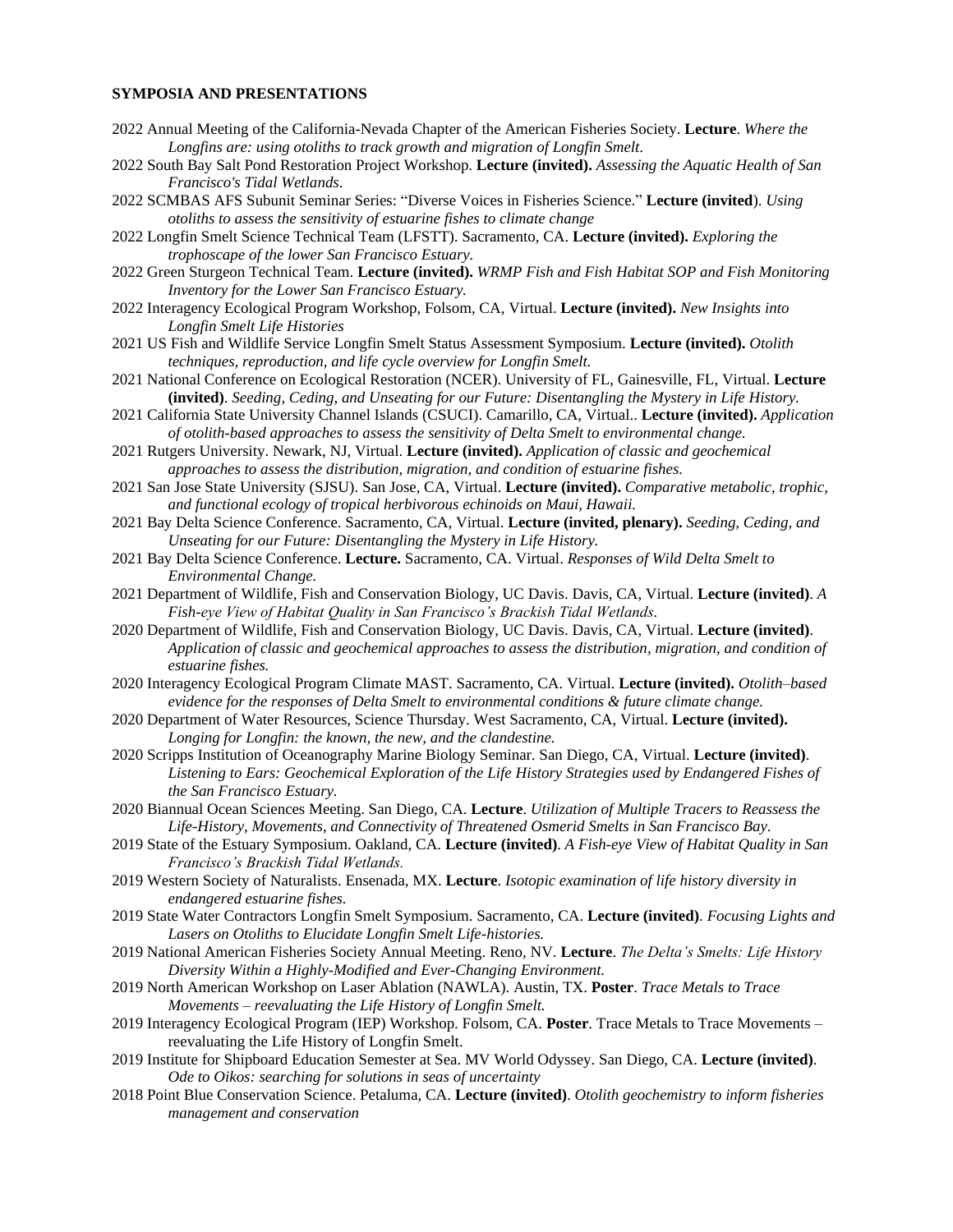#### **SYMPOSIA AND PRESENTATIONS**

- 2022 Annual Meeting of the California-Nevada Chapter of the American Fisheries Society. **Lecture**. *Where the Longfins are: using otoliths to track growth and migration of Longfin Smelt*.
- 2022 South Bay Salt Pond Restoration Project Workshop. **Lecture (invited).** *Assessing the Aquatic Health of San Francisco's Tidal Wetlands*.
- 2022 SCMBAS AFS Subunit Seminar Series: "Diverse Voices in Fisheries Science." **Lecture (invited**). *Using otoliths to assess the sensitivity of estuarine fishes to climate change*
- 2022 Longfin Smelt Science Technical Team (LFSTT). Sacramento, CA. **Lecture (invited).** *Exploring the trophoscape of the lower San Francisco Estuary.*
- 2022 Green Sturgeon Technical Team. **Lecture (invited).** *WRMP Fish and Fish Habitat SOP and Fish Monitoring Inventory for the Lower San Francisco Estuary.*
- 2022 Interagency Ecological Program Workshop, Folsom, CA, Virtual. **Lecture (invited).** *New Insights into Longfin Smelt Life Histories*
- 2021 US Fish and Wildlife Service Longfin Smelt Status Assessment Symposium. **Lecture (invited).** *Otolith techniques, reproduction, and life cycle overview for Longfin Smelt.*
- 2021 National Conference on Ecological Restoration (NCER). University of FL, Gainesville, FL, Virtual. **Lecture (invited)**. *Seeding, Ceding, and Unseating for our Future: Disentangling the Mystery in Life History.*
- 2021 California State University Channel Islands (CSUCI). Camarillo, CA, Virtual.. **Lecture (invited).** *Application of otolith-based approaches to assess the sensitivity of Delta Smelt to environmental change.*
- 2021 Rutgers University. Newark, NJ, Virtual. **Lecture (invited).** *Application of classic and geochemical approaches to assess the distribution, migration, and condition of estuarine fishes.*
- 2021 San Jose State University (SJSU). San Jose, CA, Virtual. **Lecture (invited).** *Comparative metabolic, trophic, and functional ecology of tropical herbivorous echinoids on Maui, Hawaii.*
- 2021 Bay Delta Science Conference. Sacramento, CA, Virtual. **Lecture (invited, plenary).** *Seeding, Ceding, and Unseating for our Future: Disentangling the Mystery in Life History.*
- 2021 Bay Delta Science Conference. **Lecture.** Sacramento, CA. Virtual. *Responses of Wild Delta Smelt to Environmental Change.*
- 2021 Department of Wildlife, Fish and Conservation Biology, UC Davis. Davis, CA, Virtual. **Lecture (invited)**. *A Fish-eye View of Habitat Quality in San Francisco's Brackish Tidal Wetlands.*
- 2020 Department of Wildlife, Fish and Conservation Biology, UC Davis. Davis, CA, Virtual. **Lecture (invited)**. *Application of classic and geochemical approaches to assess the distribution, migration, and condition of estuarine fishes.*
- 2020 Interagency Ecological Program Climate MAST. Sacramento, CA. Virtual. **Lecture (invited).** *Otolith–based evidence for the responses of Delta Smelt to environmental conditions & future climate change.*
- 2020 Department of Water Resources, Science Thursday. West Sacramento, CA, Virtual. **Lecture (invited).** *Longing for Longfin: the known, the new, and the clandestine.*
- 2020 Scripps Institution of Oceanography Marine Biology Seminar. San Diego, CA, Virtual. **Lecture (invited)**. *Listening to Ears: Geochemical Exploration of the Life History Strategies used by Endangered Fishes of the San Francisco Estuary.*
- 2020 Biannual Ocean Sciences Meeting. San Diego, CA. **Lecture**. *Utilization of Multiple Tracers to Reassess the Life-History, Movements, and Connectivity of Threatened Osmerid Smelts in San Francisco Bay.*
- 2019 State of the Estuary Symposium. Oakland, CA. **Lecture (invited)**. *A Fish-eye View of Habitat Quality in San Francisco's Brackish Tidal Wetlands.*
- 2019 Western Society of Naturalists. Ensenada, MX. **Lecture**. *Isotopic examination of life history diversity in endangered estuarine fishes.*
- 2019 State Water Contractors Longfin Smelt Symposium. Sacramento, CA. **Lecture (invited)**. *Focusing Lights and Lasers on Otoliths to Elucidate Longfin Smelt Life-histories.*
- 2019 National American Fisheries Society Annual Meeting. Reno, NV. **Lecture**. *The Delta's Smelts: Life History Diversity Within a Highly-Modified and Ever-Changing Environment.*
- 2019 North American Workshop on Laser Ablation (NAWLA). Austin, TX. **Poster**. *Trace Metals to Trace Movements – reevaluating the Life History of Longfin Smelt.*
- 2019 Interagency Ecological Program (IEP) Workshop. Folsom, CA. **Poster**. Trace Metals to Trace Movements reevaluating the Life History of Longfin Smelt.
- 2019 Institute for Shipboard Education Semester at Sea. MV World Odyssey. San Diego, CA. **Lecture (invited)**. *Ode to Oikos: searching for solutions in seas of uncertainty*
- 2018 Point Blue Conservation Science. Petaluma, CA. **Lecture (invited)**. *Otolith geochemistry to inform fisheries management and conservation*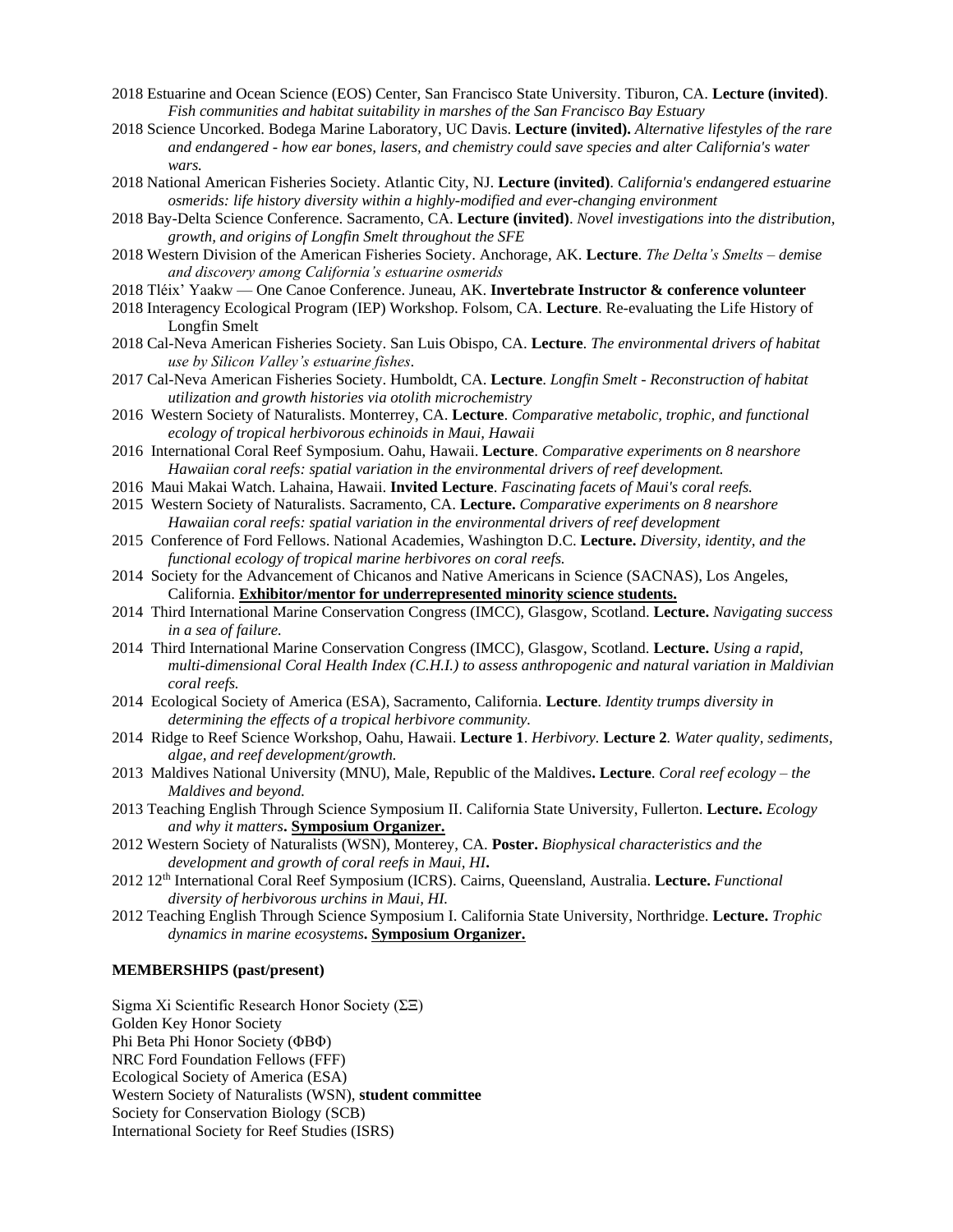- 2018 Estuarine and Ocean Science (EOS) Center, San Francisco State University. Tiburon, CA. **Lecture (invited)**. *Fish communities and habitat suitability in marshes of the San Francisco Bay Estuary*
- 2018 Science Uncorked. Bodega Marine Laboratory, UC Davis. **Lecture (invited).** *Alternative lifestyles of the rare and endangered - how ear bones, lasers, and chemistry could save species and alter California's water wars.*
- 2018 National American Fisheries Society. Atlantic City, NJ. **Lecture (invited)**. *California's endangered estuarine osmerids: life history diversity within a highly-modified and ever-changing environment*
- 2018 Bay-Delta Science Conference. Sacramento, CA. **Lecture (invited)**. *Novel investigations into the distribution, growth, and origins of Longfin Smelt throughout the SFE*
- 2018 Western Division of the American Fisheries Society. Anchorage, AK. **Lecture**. *The Delta's Smelts – demise and discovery among California's estuarine osmerids*
- 2018 Tléix' Yaakw One Canoe Conference. Juneau, AK. **Invertebrate Instructor & conference volunteer**
- 2018 Interagency Ecological Program (IEP) Workshop. Folsom, CA. **Lecture**. Re-evaluating the Life History of Longfin Smelt
- 2018 Cal-Neva American Fisheries Society. San Luis Obispo, CA. **Lecture**. *The environmental drivers of habitat use by Silicon Valley's estuarine fishes*.
- 2017 Cal-Neva American Fisheries Society. Humboldt, CA. **Lecture**. *Longfin Smelt - Reconstruction of habitat utilization and growth histories via otolith microchemistry*
- 2016 Western Society of Naturalists. Monterrey, CA. **Lecture**. *Comparative metabolic, trophic, and functional ecology of tropical herbivorous echinoids in Maui, Hawaii*
- 2016 International Coral Reef Symposium. Oahu, Hawaii. **Lecture**. *Comparative experiments on 8 nearshore Hawaiian coral reefs: spatial variation in the environmental drivers of reef development.*
- 2016 Maui Makai Watch. Lahaina, Hawaii. **Invited Lecture**. *Fascinating facets of Maui's coral reefs.*
- 2015 Western Society of Naturalists. Sacramento, CA. **Lecture.** *Comparative experiments on 8 nearshore Hawaiian coral reefs: spatial variation in the environmental drivers of reef development*
- 2015 Conference of Ford Fellows. National Academies, Washington D.C. **Lecture.** *Diversity, identity, and the functional ecology of tropical marine herbivores on coral reefs.*
- 2014 Society for the Advancement of Chicanos and Native Americans in Science (SACNAS), Los Angeles, California. **Exhibitor/mentor for underrepresented minority science students.**
- 2014 Third International Marine Conservation Congress (IMCC), Glasgow, Scotland. **Lecture.** *Navigating success in a sea of failure.*
- 2014 Third International Marine Conservation Congress (IMCC), Glasgow, Scotland. **Lecture.** *Using a rapid, multi-dimensional Coral Health Index (C.H.I.) to assess anthropogenic and natural variation in Maldivian coral reefs.*
- 2014 Ecological Society of America (ESA), Sacramento, California. **Lecture**. *Identity trumps diversity in determining the effects of a tropical herbivore community.*
- 2014 Ridge to Reef Science Workshop, Oahu, Hawaii. **Lecture 1**. *Herbivory.* **Lecture 2***. Water quality, sediments, algae, and reef development/growth.*
- 2013 Maldives National University (MNU), Male, Republic of the Maldives**. Lecture**. *Coral reef ecology – the Maldives and beyond.*
- 2013 Teaching English Through Science Symposium II. California State University, Fullerton. **Lecture.** *Ecology and why it matters***. Symposium Organizer.**
- 2012 Western Society of Naturalists (WSN), Monterey, CA. **Poster.** *Biophysical characteristics and the development and growth of coral reefs in Maui, HI***.**
- 2012 12th International Coral Reef Symposium (ICRS). Cairns, Queensland, Australia. **Lecture.** *Functional diversity of herbivorous urchins in Maui, HI.*
- 2012 Teaching English Through Science Symposium I. California State University, Northridge. **Lecture.** *Trophic dynamics in marine ecosystems***. Symposium Organizer.**

## **MEMBERSHIPS (past/present)**

Sigma Xi Scientific Research Honor Society (ΣΞ) Golden Key Honor Society Phi Beta Phi Honor Society (ΦBΦ) NRC Ford Foundation Fellows (FFF) Ecological Society of America (ESA) Western Society of Naturalists (WSN), **student committee** Society for Conservation Biology (SCB) International Society for Reef Studies (ISRS)